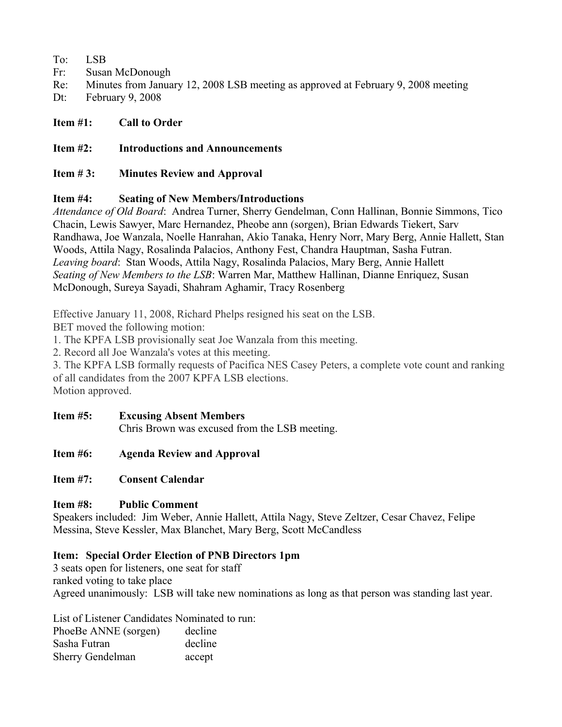To: LSB

- Fr: Susan McDonough
- Re: Minutes from January 12, 2008 LSB meeting as approved at February 9, 2008 meeting
- Dt: February 9, 2008

## **Item #1: Call to Order**

## **Item #2: Introductions and Announcements**

## **Item # 3: Minutes Review and Approval**

## **Item #4: Seating of New Members/Introductions**

*Attendance of Old Board*: Andrea Turner, Sherry Gendelman, Conn Hallinan, Bonnie Simmons, Tico Chacin, Lewis Sawyer, Marc Hernandez, Pheobe ann (sorgen), Brian Edwards Tiekert, Sarv Randhawa, Joe Wanzala, Noelle Hanrahan, Akio Tanaka, Henry Norr, Mary Berg, Annie Hallett, Stan Woods, Attila Nagy, Rosalinda Palacios, Anthony Fest, Chandra Hauptman, Sasha Futran. *Leaving board*: Stan Woods, Attila Nagy, Rosalinda Palacios, Mary Berg, Annie Hallett *Seating of New Members to the LSB*: Warren Mar, Matthew Hallinan, Dianne Enriquez, Susan McDonough, Sureya Sayadi, Shahram Aghamir, Tracy Rosenberg

Effective January 11, 2008, Richard Phelps resigned his seat on the LSB.

BET moved the following motion:

1. The KPFA LSB provisionally seat Joe Wanzala from this meeting.

2. Record all Joe Wanzala's votes at this meeting.

3. The KPFA LSB formally requests of Pacifica NES Casey Peters, a complete vote count and ranking of all candidates from the 2007 KPFA LSB elections. Motion approved.

- **Item #5: Excusing Absent Members** Chris Brown was excused from the LSB meeting.
- **Item #6: Agenda Review and Approval**

# **Item #7: Consent Calendar**

# **Item #8: Public Comment**

Speakers included: Jim Weber, Annie Hallett, Attila Nagy, Steve Zeltzer, Cesar Chavez, Felipe Messina, Steve Kessler, Max Blanchet, Mary Berg, Scott McCandless

# **Item: Special Order Election of PNB Directors 1pm**

3 seats open for listeners, one seat for staff ranked voting to take place Agreed unanimously: LSB will take new nominations as long as that person was standing last year.

List of Listener Candidates Nominated to run: PhoeBe ANNE (sorgen) decline Sasha Futran decline Sherry Gendelman accept